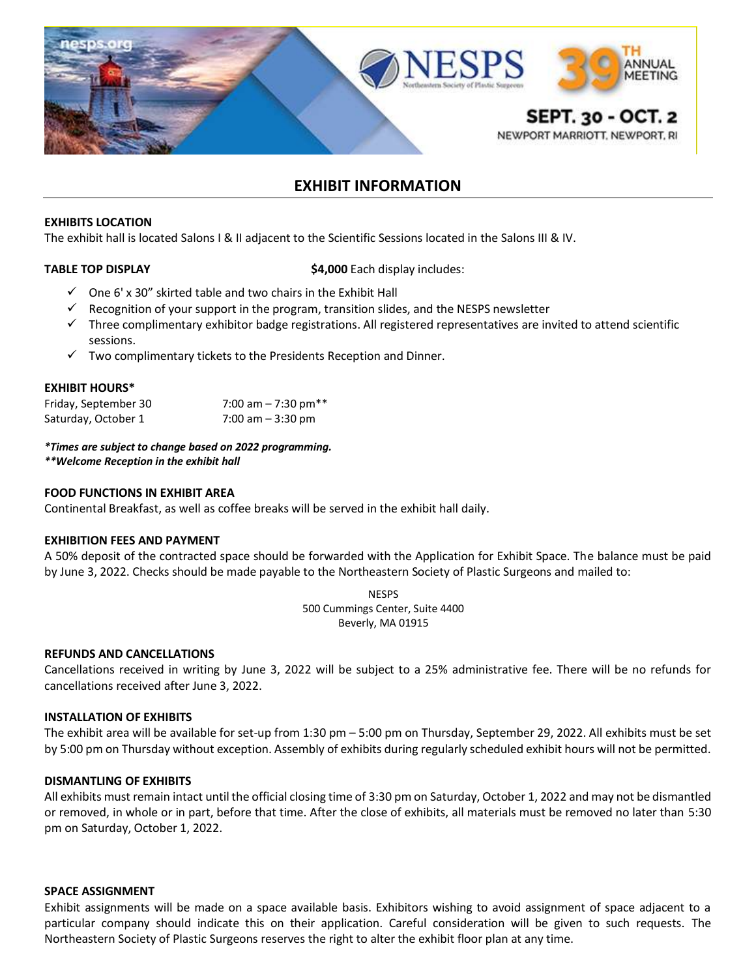

# **EXHIBIT INFORMATION**

## **EXHIBITS LOCATION**

The exhibit hall is located Salons I & II adjacent to the Scientific Sessions located in the Salons III & IV.

**TABLE TOP DISPLAY 1988 12000 Each display includes:** 

- $\checkmark$  One 6' x 30" skirted table and two chairs in the Exhibit Hall
- $\checkmark$  Recognition of your support in the program, transition slides, and the NESPS newsletter
- $\checkmark$  Three complimentary exhibitor badge registrations. All registered representatives are invited to attend scientific sessions.
- $\checkmark$  Two complimentary tickets to the Presidents Reception and Dinner.

# **EXHIBIT HOURS\***

| Friday, September 30 | 7:00 am $-$ 7:30 pm** |
|----------------------|-----------------------|
| Saturday, October 1  | 7:00 am $-$ 3:30 pm   |

*\*Times are subject to change based on 2022 programming.*

*\*\*Welcome Reception in the exhibit hall* 

# **FOOD FUNCTIONS IN EXHIBIT AREA**

Continental Breakfast, as well as coffee breaks will be served in the exhibit hall daily.

# **EXHIBITION FEES AND PAYMENT**

A 50% deposit of the contracted space should be forwarded with the Application for Exhibit Space. The balance must be paid by June 3, 2022. Checks should be made payable to the Northeastern Society of Plastic Surgeons and mailed to:

> **NESPS** 500 Cummings Center, Suite 4400 Beverly, MA 01915

# **REFUNDS AND CANCELLATIONS**

Cancellations received in writing by June 3, 2022 will be subject to a 25% administrative fee. There will be no refunds for cancellations received after June 3, 2022.

# **INSTALLATION OF EXHIBITS**

The exhibit area will be available for set-up from 1:30 pm – 5:00 pm on Thursday, September 29, 2022. All exhibits must be set by 5:00 pm on Thursday without exception. Assembly of exhibits during regularly scheduled exhibit hours will not be permitted.

# **DISMANTLING OF EXHIBITS**

All exhibits must remain intact until the official closing time of 3:30 pm on Saturday, October 1, 2022 and may not be dismantled or removed, in whole or in part, before that time. After the close of exhibits, all materials must be removed no later than 5:30 pm on Saturday, October 1, 2022.

# **SPACE ASSIGNMENT**

Exhibit assignments will be made on a space available basis. Exhibitors wishing to avoid assignment of space adjacent to a particular company should indicate this on their application. Careful consideration will be given to such requests. The Northeastern Society of Plastic Surgeons reserves the right to alter the exhibit floor plan at any time.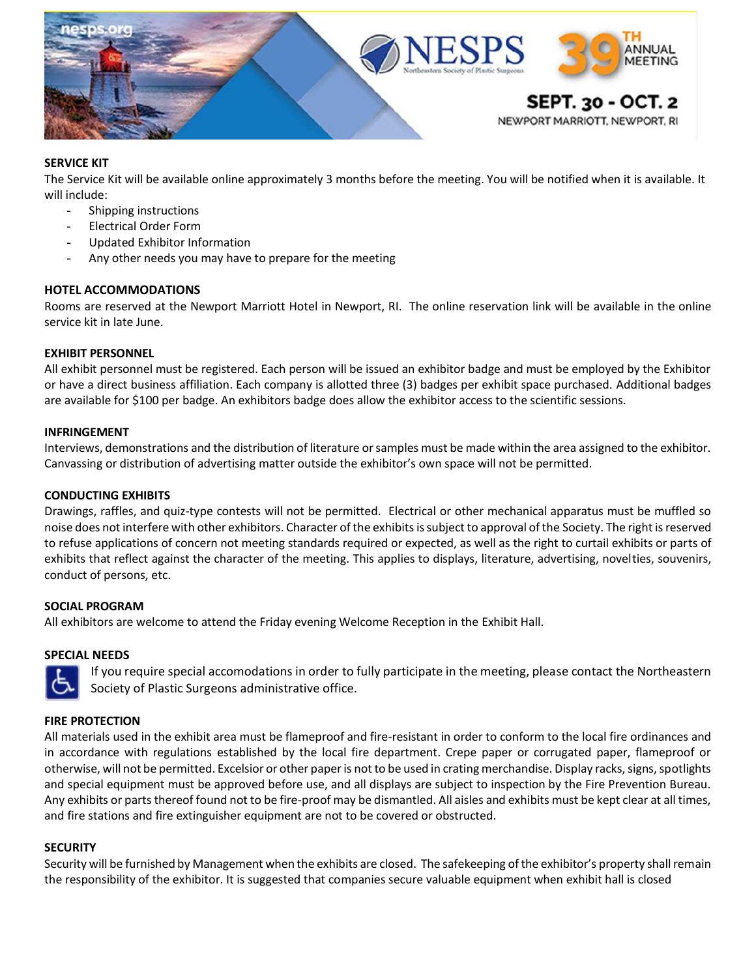

# **SERVICE KIT**

The Service Kit will be available online approximately 3 months before the meeting. You will be notified when it is available. It will include:

- Shipping instructions
- Electrical Order Form
- Updated Exhibitor Information
- Any other needs you may have to prepare for the meeting

# **HOTEL ACCOMMODATIONS**

Rooms are reserved at the Newport Marriott Hotel in Newport, RI. The online reservation link will be available in the online service kit in late June.

# **EXHIBIT PERSONNEL**

All exhibit personnel must be registered. Each person will be issued an exhibitor badge and must be employed by the Exhibitor or have a direct business affiliation. Each company is allotted three (3) badges per exhibit space purchased. Additional badges are available for \$100 per badge. An exhibitors badge does allow the exhibitor access to the scientific sessions.

# **INFRINGEMENT**

Interviews, demonstrations and the distribution of literature or samples must be made within the area assigned to the exhibitor. Canvassing or distribution of advertising matter outside the exhibitor's own space will not be permitted.

# **CONDUCTING EXHIBITS**

Drawings, raffles, and quiz-type contests will not be permitted. Electrical or other mechanical apparatus must be muffled so noise does not interfere with other exhibitors. Character of the exhibits is subject to approval of the Society. The right is reserved to refuse applications of concern not meeting standards required or expected, as well as the right to curtail exhibits or parts of exhibits that reflect against the character of the meeting. This applies to displays, literature, advertising, novelties, souvenirs, conduct of persons, etc.

# **SOCIAL PROGRAM**

All exhibitors are welcome to attend the Friday evening Welcome Reception in the Exhibit Hall.

# **SPECIAL NEEDS**

If you require special accomodations in order to fully participate in the meeting, please contact the Northeastern Society of Plastic Surgeons administrative office.

# **FIRE PROTECTION**

All materials used in the exhibit area must be flameproof and fire-resistant in order to conform to the local fire ordinances and in accordance with regulations established by the local fire department. Crepe paper or corrugated paper, flameproof or otherwise, will not be permitted. Excelsior or other paper is not to be used in crating merchandise. Display racks, signs, spotlights and special equipment must be approved before use, and all displays are subject to inspection by the Fire Prevention Bureau. Any exhibits or parts thereof found not to be fire-proof may be dismantled. All aisles and exhibits must be kept clear at all times, and fire stations and fire extinguisher equipment are not to be covered or obstructed.

# **SECURITY**

Security will be furnished by Management when the exhibits are closed. The safekeeping of the exhibitor's property shall remain the responsibility of the exhibitor. It is suggested that companies secure valuable equipment when exhibit hall is closed